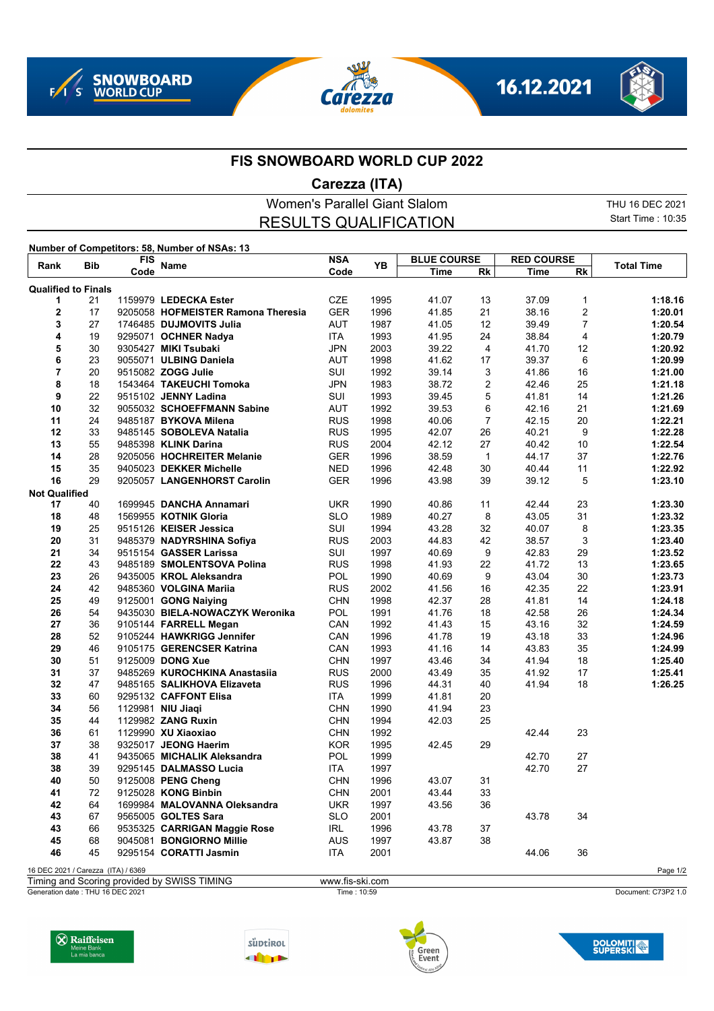







## **FIS SNOWBOARD WORLD CUP 2022**

## **Carezza (ITA)**

Women's Parallel Giant Slalom THU 16 DEC 2021 Start Time : 10:35 RESULTS QUALIFICATION **Number of Competitors: 58, Number of NSAs: 13 Rank Bib FIS Name NSA Code Time BLUE COURSE Rk Time RED COURSE Reference Manne Code PB <u>The Rk Time Rk</u> <b>Total Time Qualified to Finals** 21 1159979 **LEDECKA Ester** CZE 1995 41.07 13 37.09 1 **1:18.16** 17 9205058 **HOFMEISTER Ramona Theresia** GER 1996 41.85 21 38.16 2 **1:20.01 1746485 DUJMOVITS Julia**  19 9295071 **OCHNER Nadya** ITA 1993 41.95 24 38.84 4 **1:20.79** 30 9305427 **MIKI Tsubaki** JPN 2003 39.22 4 41.70 12 **1:20.92** 23 9055071 **ULBING Daniela**  20 9515082 **ZOGG Julie** SUI 1992 39.14 3 41.86 16 **1:21.00** 18 1543464 **TAKEUCHI Tomoka** JPN 1983 38.72 2 42.46 25 **1:21.18** 22 9515102 **JENNY Ladina** SUI 1993 39.45 5 41.81 14 **1:21.26** 32 9055032 **SCHOEFFMANN Sabine** AUT 1992 39.53 6 42.16 21 **1:21.69** 24 9485187 **BYKOVA Milena** RUS 1998 40.06 7 42.15 20 **1:22.21** 33 9485145 **SOBOLEVA Natalia** RUS 1995 42.07 26 40.21 9 **1:22.28** 55 9485398 **KLINK Darina** RUS 2004 42.12 27 40.42 10 **1:22.54** 28 9205056 **HOCHREITER Melanie** GER 1996 38.59 1 44.17 37 **1:22.76** 35 9405023 **DEKKER Michelle** NED 1996 42.48 30 40.44 11 **1:22.92** 29 9205057 **LANGENHORST Carolin** GER 1996 43.98 39 39.12 5 **1:23.10 Not Qualified**<br>17 40 40 1699945 **DANCHA Annamari** UKR 1990 40.86 11 42.44 23 **1:23.30** 48 1569955 **KOTNIK Gloria** SLO 1989 40.27 8 43.05 31 **1:23.32** 25 9515126 **KEISER Jessica** SUI 1994 43.28 32 40.07 8 **1:23.35** 31 9485379 **NADYRSHINA Sofiya** RUS 2003 44.83 42 38.57 3 **1:23.40** 34 9515154 **GASSER Larissa** SUI 1997 40.69 9 42.83 29 **1:23.52** 43 9485189 **SMOLENTSOVA Polina** RUS 1998 41.93 22 41.72 13 **1:23.65** 26 9435005 **KROL Aleksandra** POL 1990 40.69 9 43.04 30 **1:23.73** 42 9485360 **VOLGINA Mariia** RUS 2002 41.56 16 42.35 22 **1:23.91** 49 9125001 **GONG Naiying** CHN 1998 42.37 28 41.81 14 **1:24.18**

| 25 | 49 | 9125001 <b>GONG Naiying</b>     | CHN        | 1998 | 42.37 | 28 | 41.81 | 14 | 1:24.18 |
|----|----|---------------------------------|------------|------|-------|----|-------|----|---------|
| 26 | 54 | 9435030 BIELA-NOWACZYK Weronika | POL        | 1991 | 41.76 | 18 | 42.58 | 26 | 1:24.34 |
| 27 | 36 | 9105144 FARRELL Megan           | CAN        | 1992 | 41.43 | 15 | 43.16 | 32 | 1:24.59 |
| 28 | 52 | 9105244 HAWKRIGG Jennifer       | CAN        | 1996 | 41.78 | 19 | 43.18 | 33 | 1:24.96 |
| 29 | 46 | 9105175 GERENCSER Katrina       | CAN        | 1993 | 41.16 | 14 | 43.83 | 35 | 1:24.99 |
| 30 | 51 | 9125009 DONG Xue                | <b>CHN</b> | 1997 | 43.46 | 34 | 41.94 | 18 | 1:25.40 |
| 31 | 37 | 9485269 KUROCHKINA Anastasija   | <b>RUS</b> | 2000 | 43.49 | 35 | 41.92 | 17 | 1:25.41 |
| 32 | 47 | 9485165 SALIKHOVA Elizaveta     | <b>RUS</b> | 1996 | 44.31 | 40 | 41.94 | 18 | 1:26.25 |
| 33 | 60 | 9295132 CAFFONT Elisa           | ITA.       | 1999 | 41.81 | 20 |       |    |         |
| 34 | 56 | 1129981 NIU Jiagi               | <b>CHN</b> | 1990 | 41.94 | 23 |       |    |         |
| 35 | 44 | 1129982 <b>ZANG Ruxin</b>       | <b>CHN</b> | 1994 | 42.03 | 25 |       |    |         |
| 36 | 61 | 1129990 <b>XU Xiaoxiao</b>      | <b>CHN</b> | 1992 |       |    | 42.44 | 23 |         |
| 37 | 38 | 9325017 JEONG Haerim            | <b>KOR</b> | 1995 | 42.45 | 29 |       |    |         |
| 38 | 41 | 9435065 MICHALIK Aleksandra     | <b>POL</b> | 1999 |       |    | 42.70 | 27 |         |
| 38 | 39 | 9295145 DALMASSO Lucia          | <b>ITA</b> | 1997 |       |    | 42.70 | 27 |         |
| 40 | 50 | 9125008 PENG Cheng              | <b>CHN</b> | 1996 | 43.07 | 31 |       |    |         |
| 41 | 72 | 9125028 KONG Binbin             | <b>CHN</b> | 2001 | 43.44 | 33 |       |    |         |
| 42 | 64 | 1699984 MALOVANNA Oleksandra    | <b>UKR</b> | 1997 | 43.56 | 36 |       |    |         |
| 43 | 67 | 9565005 <b>GOLTES Sara</b>      | <b>SLO</b> | 2001 |       |    | 43.78 | 34 |         |
| 43 | 66 | 9535325 CARRIGAN Maggie Rose    | <b>IRL</b> | 1996 | 43.78 | 37 |       |    |         |

16 DEC 2021 / Carezza (ITA) / 6369 Page 1/2

Timing and Scoring provided by SWISS TIMING www.fis-ski.com

45 9295154 **CORATTI Jasmin** ITA 2001 44.06 36

Generation date : THU 16 DEC 2021 Time : 10:59 Document: C73P2 1.0





68 9045081 **BONGIORNO Millie** AUS 1997 43.87 38





**DOLOMITI**